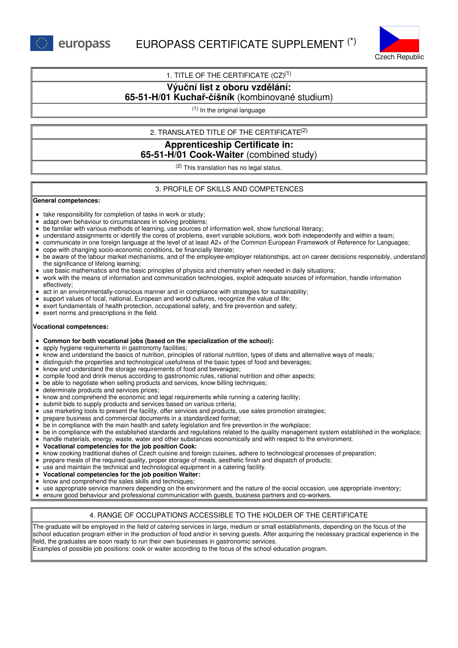

1. TITLE OF THE CERTIFICATE  $(CZ)^{(1)}$ 

# **Výuční list z oboru vzdělání:**

# **65-51-H/01 Kuchař-číšník** (kombinované studium)

(1) In the original language

## 2. TRANSLATED TITLE OF THE CERTIFICATE (2)

# **Apprenticeship Certificate in: 65-51-H/01 Cook-Waiter** (combined study)

 $(2)$  This translation has no legal status.

## 3. PROFILE OF SKILLS AND COMPETENCES

#### **General competences:**

- take responsibility for completion of tasks in work or study;
- adapt own behaviour to circumstances in solving problems;
- be familiar with various methods of learning, use sources of information well, show functional literacy;  $\bullet$
- understand assignments or identify the cores of problems, exert variable solutions, work both independently and within a team;
- communicate in one foreign language at the level of at least A2+ of the Common European Framework of Reference for Languages;
- cope with changing socio-economic conditions, be financially literate;
- be aware of the labour market mechanisms, and of the employee-employer relationships, act on career decisions responsibly, understand the significance of lifelong learning;
- use basic mathematics and the basic principles of physics and chemistry when needed in daily situations;
- work with the means of information and communication technologies, exploit adequate sources of information, handle information  $\bullet$ effectively;
- act in an environmentally-conscious manner and in compliance with strategies for sustainability;
- support values of local, national, European and world cultures, recognize the value of life;
- exert fundamentals of health protection, occupational safety, and fire prevention and safety;  $\bullet$
- exert norms and prescriptions in the field.

### **Vocational competences:**

- **Common for both vocational jobs (based on the specialization of the school):**
- apply hygiene requirements in gastronomy facilities;
- know and understand the basics of nutrition, principles of rational nutrition, types of diets and alternative ways of meals;  $\bullet$
- distinguish the properties and technological usefulness of the basic types of food and beverages;  $\bullet$
- $\bullet$ know and understand the storage requirements of food and beverages;
- compile food and drink menus according to gastronomic rules, rational nutrition and other aspects;
- $\bullet$ be able to negotiate when selling products and services, know billing techniques;
- determinate products and services prices;
- know and comprehend the economic and legal requirements while running a catering facility;  $\bullet$
- submit bids to supply products and services based on various criteria;
- use marketing tools to present the facility, offer services and products, use sales promotion strategies;  $\bullet$
- $\bullet$ prepare business and commercial documents in a standardized format;
- $\bullet$ be in compliance with the main health and safety legislation and fire prevention in the workplace;
- be in compliance with the established standards and regulations related to the quality management system established in the workplace;
- handle materials, energy, waste, water and other substances economically and with respect to the environment.
- $\bullet$ **Vocational competencies for the job position Cook:**
- $\bullet$ know cooking traditional dishes of Czech cuisine and foreign cuisines, adhere to technological processes of preparation;
- prepare meals of the required quality, proper storage of meals, aesthetic finish and dispatch of products;
- use and maintain the technical and technological equipment in a catering facility.
- **Vocational competencies for the job position Waiter:**
- know and comprehend the sales skills and techniques;
- use appropriate service manners depending on the environment and the nature of the social occasion, use appropriate inventory;
- ensure good behaviour and professional communication with guests, business partners and co-workers.

## 4. RANGE OF OCCUPATIONS ACCESSIBLE TO THE HOLDER OF THE CERTIFICATE

The graduate will be employed in the field of catering services in large, medium or small establishments, depending on the focus of the school education program either in the production of food and/or in serving guests. After acquiring the necessary practical experience in the field, the graduates are soon ready to run their own businesses in gastronomic services.

Examples of possible job positions: cook or waiter according to the focus of the school education program.